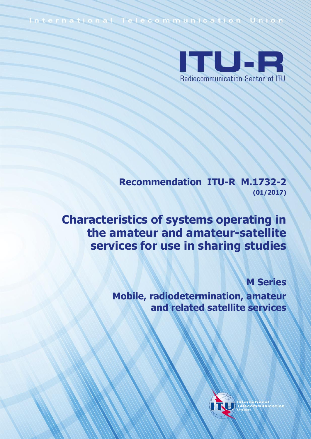International Telecommunication Union



**Recommendation ITU-R M.1732-2 (01/2017)**

**Characteristics of systems operating in the amateur and amateur-satellite services for use in sharing studies**

**M Series**

**Mobile, radiodetermination, amateur and related satellite services**

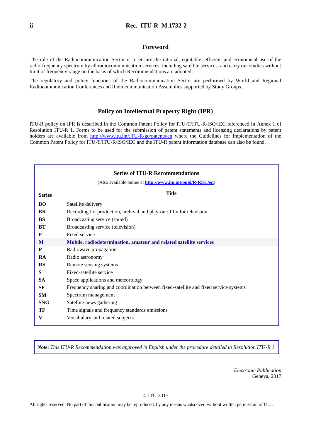#### **Foreword**

The role of the Radiocommunication Sector is to ensure the rational, equitable, efficient and economical use of the radio-frequency spectrum by all radiocommunication services, including satellite services, and carry out studies without limit of frequency range on the basis of which Recommendations are adopted.

The regulatory and policy functions of the Radiocommunication Sector are performed by World and Regional Radiocommunication Conferences and Radiocommunication Assemblies supported by Study Groups.

#### **Policy on Intellectual Property Right (IPR)**

ITU-R policy on IPR is described in the Common Patent Policy for ITU-T/ITU-R/ISO/IEC referenced in Annex 1 of Resolution ITU-R 1. Forms to be used for the submission of patent statements and licensing declarations by patent holders are available from <http://www.itu.int/ITU-R/go/patents/en> where the Guidelines for Implementation of the Common Patent Policy for ITU-T/ITU-R/ISO/IEC and the ITU-R patent information database can also be found.

|               | <b>Series of ITU-R Recommendations</b>                                               |
|---------------|--------------------------------------------------------------------------------------|
|               | (Also available online at http://www.itu.int/publ/R-REC/en)                          |
| <b>Series</b> | <b>Title</b>                                                                         |
| <b>BO</b>     | Satellite delivery                                                                   |
| BR            | Recording for production, archival and play-out; film for television                 |
| <b>BS</b>     | Broadcasting service (sound)                                                         |
| BT            | Broadcasting service (television)                                                    |
| F             | Fixed service                                                                        |
| M             | Mobile, radiodetermination, amateur and related satellite services                   |
| P             | Radiowave propagation                                                                |
| <b>RA</b>     | Radio astronomy                                                                      |
| RS            | Remote sensing systems                                                               |
| S             | Fixed-satellite service                                                              |
| <b>SA</b>     | Space applications and meteorology                                                   |
| SF            | Frequency sharing and coordination between fixed-satellite and fixed service systems |
| SM            | Spectrum management                                                                  |
| <b>SNG</b>    | Satellite news gathering                                                             |
| TF            | Time signals and frequency standards emissions                                       |
| V             | Vocabulary and related subjects                                                      |

*Note*: *This ITU-R Recommendation was approved in English under the procedure detailed in Resolution ITU-R 1.*

*Electronic Publication* Geneva, 2017

#### © ITU 2017

All rights reserved. No part of this publication may be reproduced, by any means whatsoever, without written permission of ITU.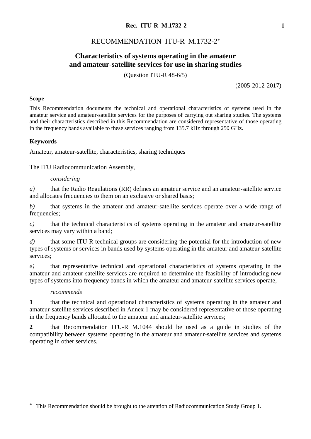# RECOMMENDATION ITU-R M.1732-2\*

# **Characteristics of systems operating in the amateur and amateur-satellite services for use in sharing studies**

(Question ITU-R 48-6/5)

(2005-2012-2017)

#### **Scope**

This Recommendation documents the technical and operational characteristics of systems used in the amateur service and amateur-satellite services for the purposes of carrying out sharing studies. The systems and their characteristics described in this Recommendation are considered representative of those operating in the frequency bands available to these services ranging from 135.7 kHz through 250 GHz.

#### **Keywords**

Amateur, amateur-satellite, characteristics, sharing techniques

The ITU Radiocommunication Assembly,

#### *considering*

*a)* that the Radio Regulations (RR) defines an amateur service and an amateur-satellite service and allocates frequencies to them on an exclusive or shared basis;

*b)* that systems in the amateur and amateur-satellite services operate over a wide range of frequencies;

*c)* that the technical characteristics of systems operating in the amateur and amateur-satellite services may vary within a band;

*d)* that some ITU-R technical groups are considering the potential for the introduction of new types of systems or services in bands used by systems operating in the amateur and amateur-satellite services;

*e)* that representative technical and operational characteristics of systems operating in the amateur and amateur-satellite services are required to determine the feasibility of introducing new types of systems into frequency bands in which the amateur and amateur-satellite services operate,

#### *recommends*

1

**1** that the technical and operational characteristics of systems operating in the amateur and amateur-satellite services described in Annex 1 may be considered representative of those operating in the frequency bands allocated to the amateur and amateur-satellite services;

**2** that Recommendation ITU-R M.1044 should be used as a guide in studies of the compatibility between systems operating in the amateur and amateur-satellite services and systems operating in other services.

<sup>\*</sup> This Recommendation should be brought to the attention of Radiocommunication Study Group 1.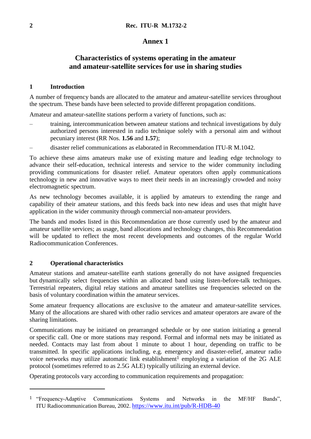## **Annex 1**

# **Characteristics of systems operating in the amateur and amateur-satellite services for use in sharing studies**

#### **1 Introduction**

A number of frequency bands are allocated to the amateur and amateur-satellite services throughout the spectrum. These bands have been selected to provide different propagation conditions.

Amateur and amateur-satellite stations perform a variety of functions, such as:

- training, intercommunication between amateur stations and technical investigations by duly authorized persons interested in radio technique solely with a personal aim and without pecuniary interest (RR Nos. **1.56** and **1.57**);
- disaster relief communications as elaborated in Recommendation ITU-R M.1042.

To achieve these aims amateurs make use of existing mature and leading edge technology to advance their self-education, technical interests and service to the wider community including providing communications for disaster relief. Amateur operators often apply communications technology in new and innovative ways to meet their needs in an increasingly crowded and noisy electromagnetic spectrum.

As new technology becomes available, it is applied by amateurs to extending the range and capability of their amateur stations, and this feeds back into new ideas and uses that might have application in the wider community through commercial non-amateur providers.

The bands and modes listed in this Recommendation are those currently used by the amateur and amateur satellite services; as usage, band allocations and technology changes, this Recommendation will be updated to reflect the most recent developments and outcomes of the regular World Radiocommunication Conferences.

#### **2 Operational characteristics**

1

Amateur stations and amateur-satellite earth stations generally do not have assigned frequencies but dynamically select frequencies within an allocated band using listen-before-talk techniques. Terrestrial repeaters, digital relay stations and amateur satellites use frequencies selected on the basis of voluntary coordination within the amateur services.

Some amateur frequency allocations are exclusive to the amateur and amateur-satellite services. Many of the allocations are shared with other radio services and amateur operators are aware of the sharing limitations.

Communications may be initiated on prearranged schedule or by one station initiating a general or specific call. One or more stations may respond. Formal and informal nets may be initiated as needed. Contacts may last from about 1 minute to about 1 hour, depending on traffic to be transmitted. In specific applications including, e.g. emergency and disaster-relief, amateur radio voice networks may utilize automatic link establishment<sup>1</sup> employing a variation of the  $2G$  ALE protocol (sometimes referred to as 2.5G ALE) typically utilizing an external device.

Operating protocols vary according to communication requirements and propagation:

<sup>1</sup> "Frequency-Adaptive Communications Systems and Networks in the MF/HF Bands", ITU Radiocommunication Bureau, 2002. <https://www.itu.int/pub/R-HDB-40>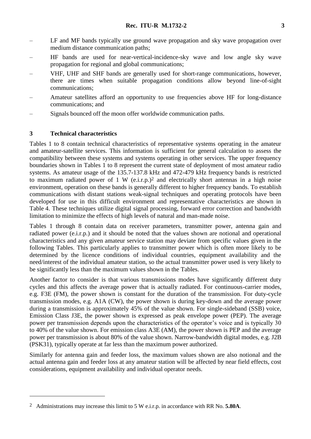- LF and MF bands typically use ground wave propagation and sky wave propagation over medium distance communication paths;
- HF bands are used for near-vertical-incidence-sky wave and low angle sky wave propagation for regional and global communications;
- VHF, UHF and SHF bands are generally used for short-range communications, however, there are times when suitable propagation conditions allow beyond line-of-sight communications;
- Amateur satellites afford an opportunity to use frequencies above HF for long-distance communications; and
- Signals bounced off the moon offer worldwide communication paths.

## **3 Technical characteristics**

1

Tables 1 to 8 contain technical characteristics of representative systems operating in the amateur and amateur-satellite services. This information is sufficient for general calculation to assess the compatibility between these systems and systems operating in other services. The upper frequency boundaries shown in Tables 1 to 8 represent the current state of deployment of most amateur radio systems. As amateur usage of the 135.7-137.8 kHz and 472-479 kHz frequency bands is restricted to maximum radiated power of 1 W (e.i.r.p.) 2 and electrically short antennas in a high noise environment, operation on these bands is generally different to higher frequency bands. To establish communications with distant stations weak-signal techniques and operating protocols have been developed for use in this difficult environment and representative characteristics are shown in Table 4. These techniques utilize digital signal processing, forward error correction and bandwidth limitation to minimize the effects of high levels of natural and man-made noise.

Tables 1 through 8 contain data on receiver parameters, transmitter power, antenna gain and radiated power (e.i.r.p.) and it should be noted that the values shown are notional and operational characteristics and any given amateur service station may deviate from specific values given in the following Tables. This particularly applies to transmitter power which is often more likely to be determined by the licence conditions of individual countries, equipment availability and the need/interest of the individual amateur station, so the actual transmitter power used is very likely to be significantly less than the maximum values shown in the Tables.

Another factor to consider is that various transmissions modes have significantly different duty cycles and this affects the average power that is actually radiated. For continuous-carrier modes, e.g. F3E (FM), the power shown is constant for the duration of the transmission. For duty-cycle transmission modes, e.g. A1A (CW), the power shown is during key-down and the average power during a transmission is approximately 45% of the value shown. For single-sideband (SSB) voice, Emission Class J3E, the power shown is expressed as peak envelope power (PEP). The average power per transmission depends upon the characteristics of the operator's voice and is typically 30 to 40% of the value shown. For emission class A3E (AM), the power shown is PEP and the average power per transmission is about 80% of the value shown. Narrow-bandwidth digital modes, e.g. J2B (PSK31), typically operate at far less than the maximum power authorized.

Similarly for antenna gain and feeder loss, the maximum values shown are also notional and the actual antenna gain and feeder loss at any amateur station will be affected by near field effects, cost considerations, equipment availability and individual operator needs.

<sup>2</sup> Administrations may increase this limit to 5 W e.i.r.p. in accordance with RR No. **5.80A**.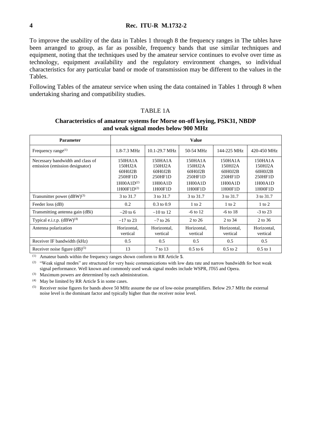To improve the usability of the data in Tables 1 through 8 the frequency ranges in The tables have been arranged to group, as far as possible, frequency bands that use similar techniques and equipment, noting that the techniques used by the amateur service continues to evolve over time as technology, equipment availability and the regulatory environment changes, so individual characteristics for any particular band or mode of transmission may be different to the values in the Tables.

Following Tables of the amateur service when using the data contained in Tables 1 through 8 when undertaking sharing and compatibility studies.

#### TABLE 1A

# **Characteristics of amateur systems for Morse on-off keying, PSK31, NBDP and weak signal modes below 900 MHz**

| <b>Parameter</b>                                                   | <b>Value</b>                                                                   |                                                                |                                                                |                                                                |                                                                |  |  |
|--------------------------------------------------------------------|--------------------------------------------------------------------------------|----------------------------------------------------------------|----------------------------------------------------------------|----------------------------------------------------------------|----------------------------------------------------------------|--|--|
| Frequency range $^{(1)}$                                           | $1.8 - 7.3$ MHz                                                                | $10.1 - 29.7 \text{ MHz}$                                      | 50-54 MHz                                                      | 144-225 MHz                                                    | 420-450 MHz                                                    |  |  |
| Necessary bandwidth and class of<br>emission (emission designator) | 150HA1A<br>150HJ2A<br>60H0J2B<br>250HF1D<br>$1H00A1D^{(2)}$<br>$1H00F1D^{(2)}$ | 150HA1A<br>150HJ2A<br>60H0J2B<br>250HF1D<br>1H00A1D<br>1H00F1D | 150HA1A<br>150HJ2A<br>60H0J2B<br>250HF1D<br>1H00A1D<br>1H00F1D | 150HA1A<br>150HJ2A<br>60H0J2B<br>250HF1D<br>1H00A1D<br>1H00F1D | 150HA1A<br>150HJ2A<br>60H0J2B<br>250HF1D<br>1H00A1D<br>1H00F1D |  |  |
| Transmitter power $(dBW)^{(3)}$                                    | 3 to 31.7                                                                      | 3 to 31.7                                                      | 3 to 31.7                                                      | 3 to 31.7                                                      | 3 to 31.7                                                      |  |  |
| Feeder loss (dB)                                                   | 0.2                                                                            | $0.3 \text{ to } 0.9$                                          | $1 \text{ to } 2$                                              | $1 \text{ to } 2$                                              | $1$ to $2$                                                     |  |  |
| Transmitting antenna gain (dBi)                                    | $-20$ to 6                                                                     | $-10$ to 12                                                    | $-6$ to 12                                                     | $-6$ to 18                                                     | $-3$ to 23                                                     |  |  |
| Typical e.i.r.p. $(dBW)^{(4)}$                                     | $-17$ to 23                                                                    | $-7$ to 26                                                     | 2 to 26                                                        | 2 to 34                                                        | 2 to 36                                                        |  |  |
| Antenna polarization                                               | Horizontal.<br>vertical                                                        | Horizontal.<br>vertical                                        | Horizontal.<br>vertical                                        | Horizontal.<br>vertical                                        | Horizontal.<br>vertical                                        |  |  |
| Receiver IF bandwidth (kHz)                                        | 0.5                                                                            | 0.5                                                            | 0.5                                                            | 0.5                                                            | 0.5                                                            |  |  |
| Receiver noise figure $(dB)^{(5)}$                                 | 13                                                                             | 7 to 13                                                        | $0.5$ to 6                                                     | $0.5$ to 2                                                     | $0.5$ to $1$                                                   |  |  |

(1) Amateur bands within the frequency ranges shown conform to RR Article **5**.

<sup>(2)</sup> "Weak signal modes" are structured for very basic communications with low data rate and narrow bandwidth for best weak signal performance. Well known and commonly used weak signal modes include WSPR, JT65 and Opera.

(3) Maximum powers are determined by each administration.

(4) May be limited by RR Article **5** in some cases.

(5) Receiver noise figures for bands above 50 MHz assume the use of low-noise preamplifiers. Below 29.7 MHz the external noise level is the dominant factor and typically higher than the receiver noise level.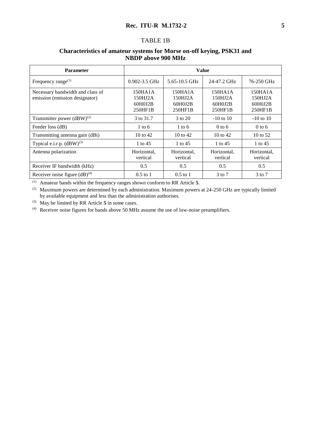#### TABLE 1B

| <b>Parameter</b>                                                   | <b>Value</b>                             |                                          |                                                       |                                          |  |  |  |
|--------------------------------------------------------------------|------------------------------------------|------------------------------------------|-------------------------------------------------------|------------------------------------------|--|--|--|
| Frequency range $(1)$                                              | $0.902 - 3.5$ GHz                        | 5.65-10.5 GHz                            | 24-47.2 GHz                                           | 76-250 GHz                               |  |  |  |
| Necessary bandwidth and class of<br>emission (emission designator) | 150HA1A<br>150HJ2A<br>60H0J2B<br>250HF1B | 150HA1A<br>150HJ2A<br>60H0J2B<br>250HF1B | 150H <sub>A</sub> 1A<br>150HJ2A<br>60H0J2B<br>250HF1B | 150HA1A<br>150HJ2A<br>60H0J2B<br>250HF1B |  |  |  |
| Transmitter power $(dBW)^{(2)}$                                    | 3 to 31.7                                | 3 to 20                                  | $-10$ to $10$                                         | $-10$ to $10$                            |  |  |  |
| Feeder loss (dB)                                                   | $1 \text{ to } 6$                        | 1 to 6                                   | $0$ to 6                                              | $0$ to 6                                 |  |  |  |
| Transmitting antenna gain (dBi)                                    | $10 \text{ to } 42$                      | $10 \text{ to } 42$                      | $10 \text{ to } 42$                                   | 10 to $52$                               |  |  |  |
| Typical e.i.r.p. $(dBW)^{(3)}$                                     | 1 to $45$                                | 1 to 45                                  | 1 to 45                                               | 1 to 45                                  |  |  |  |
| Antenna polarization                                               | Horizontal.<br>vertical                  | Horizontal,<br>vertical                  | Horizontal.<br>vertical                               | Horizontal,<br>vertical                  |  |  |  |
| Receiver IF bandwidth (kHz)                                        | 0.5                                      | 0.5                                      | 0.5                                                   | 0.5                                      |  |  |  |
| Receiver noise figure $(dB)^{(4)}$                                 | $0.5$ to 1                               | $0.5$ to 1                               | $3$ to $7$                                            | $3$ to $7$                               |  |  |  |

## **Characteristics of amateur systems for Morse on-off keying, PSK31 and NBDP above 900 MHz**

(1) Amateur bands within the frequency ranges shown conform to RR Article **5**.

(2) Maximum powers are determined by each administration. Maximum powers at 24-250 GHz are typically limited by available equipment and less than the administration authorises.

(3) May be limited by RR Article **5** in some cases.

(4) Receiver noise figures for bands above 50 MHz assume the use of low-noise preamplifiers.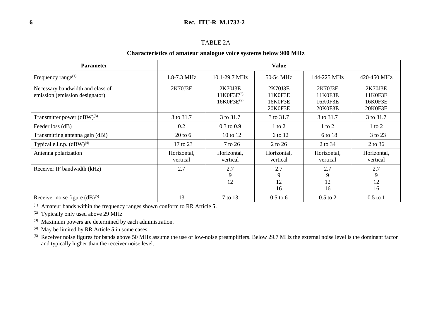#### TABLE 2A

#### **Characteristics of amateur analogue voice systems below 900 MHz**

| <b>Parameter</b>                                                   |                         |                                               |                                          |                                          |                                          |
|--------------------------------------------------------------------|-------------------------|-----------------------------------------------|------------------------------------------|------------------------------------------|------------------------------------------|
| Frequency range $(1)$                                              | 1.8-7.3 MHz             | $10.1 - 29.7 \text{ MHz}$                     | 50-54 MHz                                | 144-225 MHz                              | 420-450 MHz                              |
| Necessary bandwidth and class of<br>emission (emission designator) | 2K70J3E                 | 2K70J3E<br>$11K0F3E^{(2)}$<br>$16K0F3E^{(2)}$ | 2K70J3E<br>11K0F3E<br>16K0F3E<br>20K0F3E | 2K70J3E<br>11K0F3E<br>16K0F3E<br>20K0F3E | 2K70J3E<br>11K0F3E<br>16K0F3E<br>20K0F3E |
| Transmitter power $(dBW)^{(3)}$                                    | 3 to 31.7               | 3 to 31.7                                     | 3 to 31.7                                | 3 to 31.7                                | 3 to 31.7                                |
| Feeder loss (dB)                                                   | 0.2                     | $0.3 \text{ to } 0.9$                         | $1$ to $2$                               | $1$ to $2$                               | $1$ to $2$                               |
| Transmitting antenna gain (dBi)                                    | $-20$ to 6              | $-10$ to 12                                   | $-6$ to 12                               | $-6$ to 18                               | $-3$ to 23                               |
| Typical e.i.r.p. $(dBW)^{(4)}$                                     | $-17$ to 23             | $-7$ to 26                                    | 2 to 26                                  | 2 to 34                                  | 2 to 36                                  |
| Antenna polarization                                               | Horizontal,<br>vertical | Horizontal,<br>vertical                       | Horizontal,<br>vertical                  | Horizontal,<br>vertical                  | Horizontal,<br>vertical                  |
| Receiver IF bandwidth (kHz)                                        | 2.7                     | 2.7<br>9<br>12                                | 2.7<br>9<br>12<br>16                     | 2.7<br>9<br>12<br>16                     | 2.7<br>9<br>12<br>16                     |
| Receiver noise figure $(dB)^{(5)}$                                 | 13                      | 7 to 13                                       | $0.5$ to 6                               | $0.5$ to $2$                             | $0.5$ to 1                               |

(1) Amateur bands within the frequency ranges shown conform to RR Article **5**.

(2) Typically only used above 29 MHz

(3) Maximum powers are determined by each administration.

(4) May be limited by RR Article **5** in some cases.

(5) Receiver noise figures for bands above 50 MHz assume the use of low-noise preamplifiers. Below 29.7 MHz the external noise level is the dominant factor and typically higher than the receiver noise level.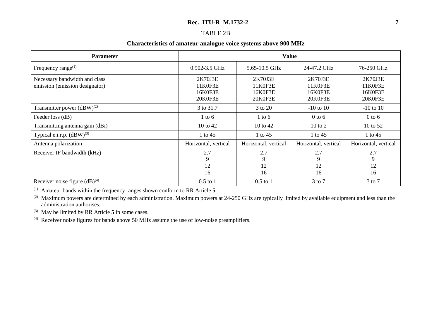#### TABLE 2B

#### **Characteristics of amateur analogue voice systems above 900 MHz**

| <b>Parameter</b>                                                | <b>Value</b>                             |                                          |                                          |                                          |  |  |  |
|-----------------------------------------------------------------|------------------------------------------|------------------------------------------|------------------------------------------|------------------------------------------|--|--|--|
| Frequency range $^{(1)}$                                        | 0.902-3.5 GHz                            | 5.65-10.5 GHz                            | 24-47.2 GHz                              | 76-250 GHz                               |  |  |  |
| Necessary bandwidth and class<br>emission (emission designator) | 2K70J3E<br>11K0F3E<br>16K0F3E<br>20K0F3E | 2K70J3E<br>11K0F3E<br>16K0F3E<br>20K0F3E | 2K70J3E<br>11K0F3E<br>16K0F3E<br>20K0F3E | 2K70J3E<br>11K0F3E<br>16K0F3E<br>20K0F3E |  |  |  |
| Transmitter power $(dBW)^{(2)}$                                 | 3 to 31.7                                | 3 to 20                                  | $-10$ to $10$                            | $-10$ to $10$                            |  |  |  |
| Feeder loss (dB)                                                | 1 to 6                                   | $1$ to 6                                 | $0$ to 6                                 | $0$ to 6                                 |  |  |  |
| Transmitting antenna gain (dBi)                                 | 10 to 42                                 | 10 to 42                                 | $10 \text{ to } 2$                       | 10 to 52                                 |  |  |  |
| Typical e.i.r.p. $(dBW)^{(3)}$                                  | 1 to 45                                  | 1 to 45                                  | 1 to 45                                  | 1 to 45                                  |  |  |  |
| Antenna polarization                                            | Horizontal, vertical                     | Horizontal, vertical                     | Horizontal, vertical                     | Horizontal, vertical                     |  |  |  |
| Receiver IF bandwidth (kHz)                                     | 2.7<br>9<br>12<br>16                     | 2.7<br>9<br>12<br>16                     | 2.7<br>9<br>12<br>16                     | 2.7<br>9<br>12<br>16                     |  |  |  |
| Receiver noise figure $(dB)^{(4)}$                              | $0.5$ to 1                               | $0.5$ to 1                               | $3$ to $7$                               | $3$ to $7$                               |  |  |  |

(1) Amateur bands within the frequency ranges shown conform to RR Article **5**.

<sup>(2)</sup> Maximum powers are determined by each administration. Maximum powers at 24-250 GHz are typically limited by available equipment and less than the administration authorises.

(3) May be limited by RR Article **5** in some cases.

(4) Receiver noise figures for bands above 50 MHz assume the use of low-noise preamplifiers.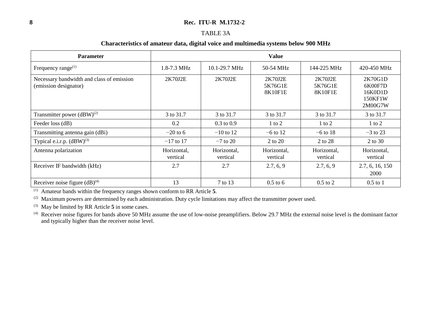#### TABLE 3A

#### **Characteristics of amateur data, digital voice and multimedia systems below 900 MHz**

| <b>Parameter</b>                                                   | <b>Value</b>            |                         |                               |                               |                                                     |  |  |  |
|--------------------------------------------------------------------|-------------------------|-------------------------|-------------------------------|-------------------------------|-----------------------------------------------------|--|--|--|
| Frequency range $^{(1)}$                                           | 1.8-7.3 MHz             | 10.1-29.7 MHz           | 50-54 MHz                     | 144-225 MHz                   | 420-450 MHz                                         |  |  |  |
| Necessary bandwidth and class of emission<br>(emission designator) | 2K70J2E                 | 2K70J2E                 | 2K70J2E<br>5K76G1E<br>8K10F1E | 2K70J2E<br>5K76G1E<br>8K10F1E | 2K70G1D<br>6K00F7D<br>16K0D1D<br>150KF1W<br>2M00G7W |  |  |  |
| Transmitter power $(dBW)^{(2)}$                                    | 3 to 31.7               | 3 to 31.7               | 3 to 31.7                     | 3 to 31.7                     | 3 to 31.7                                           |  |  |  |
| Feeder loss (dB)                                                   | 0.2                     | $0.3$ to $0.9$          | $1$ to $2$                    | $1$ to $2$                    | $1$ to $2$                                          |  |  |  |
| Transmitting antenna gain (dBi)                                    | $-20$ to 6              | $-10$ to 12             | $-6$ to 12                    | $-6$ to 18                    | $-3$ to 23                                          |  |  |  |
| Typical e.i.r.p. $(dBW)^{(3)}$                                     | $-17$ to 17             | $-7$ to 20              | 2 to 20                       | 2 to 28                       | 2 to 30                                             |  |  |  |
| Antenna polarization                                               | Horizontal,<br>vertical | Horizontal,<br>vertical | Horizontal,<br>vertical       | Horizontal,<br>vertical       | Horizontal,<br>vertical                             |  |  |  |
| Receiver IF bandwidth (kHz)                                        | 2.7                     | 2.7                     | 2.7, 6, 9                     | 2.7, 6, 9                     | 2.7, 6, 16, 150<br>2000                             |  |  |  |
| Receiver noise figure $(dB)^{(4)}$                                 | 13                      | 7 to 13                 | $0.5$ to 6                    | $0.5$ to $2$                  | $0.5$ to $1$                                        |  |  |  |

(1) Amateur bands within the frequency ranges shown conform to RR Article **5**.

(2) Maximum powers are determined by each administration. Duty cycle limitations may affect the transmitter power used.

(3) May be limited by RR Article **5** in some cases.

 $(4)$  Receiver noise figures for bands above 50 MHz assume the use of low-noise preamplifiers. Below 29.7 MHz the external noise level is the dominant factor and typically higher than the receiver noise level.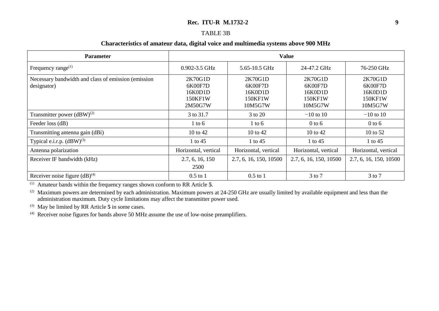#### TABLE 3B

#### **Characteristics of amateur data, digital voice and multimedia systems above 900 MHz**

| <b>Parameter</b>                                                   | <b>Value</b>                                        |                                                     |                                                     |                                                     |  |  |  |
|--------------------------------------------------------------------|-----------------------------------------------------|-----------------------------------------------------|-----------------------------------------------------|-----------------------------------------------------|--|--|--|
| Frequency range $(1)$                                              | 0.902-3.5 GHz                                       | 5.65-10.5 GHz                                       | 24-47.2 GHz                                         | 76-250 GHz                                          |  |  |  |
| Necessary bandwidth and class of emission (emission<br>designator) | 2K70G1D<br>6K00F7D<br>16K0D1D<br>150KF1W<br>2M50G7W | 2K70G1D<br>6K00F7D<br>16K0D1D<br>150KF1W<br>10M5G7W | 2K70G1D<br>6K00F7D<br>16K0D1D<br>150KF1W<br>10M5G7W | 2K70G1D<br>6K00F7D<br>16K0D1D<br>150KF1W<br>10M5G7W |  |  |  |
| Transmitter power $(dBW)^{(2)}$                                    | 3 to 31.7                                           | 3 to 20                                             | $-10$ to 10                                         | $-10$ to 10                                         |  |  |  |
| Feeder loss (dB)                                                   | $1$ to 6                                            | $1$ to 6                                            | $0$ to 6                                            | $0$ to 6                                            |  |  |  |
| Transmitting antenna gain (dBi)                                    | 10 to 42                                            | 10 to 42                                            | 10 to 42                                            | 10 to $52$                                          |  |  |  |
| Typical e.i.r.p. $(dBW)^{(3)}$                                     | 1 to 45                                             | 1 to 45                                             | 1 to $45$                                           | 1 to 45                                             |  |  |  |
| Antenna polarization                                               | Horizontal, vertical                                | Horizontal, vertical                                | Horizontal, vertical                                | Horizontal, vertical                                |  |  |  |
| Receiver IF bandwidth (kHz)                                        | 2.7, 6, 16, 150<br>2500                             | 2.7, 6, 16, 150, 10500                              | 2.7, 6, 16, 150, 10500                              | 2.7, 6, 16, 150, 10500                              |  |  |  |
| Receiver noise figure $(dB)^{(4)}$                                 | $0.5$ to 1                                          | $0.5$ to 1                                          | $3$ to $7$                                          | $3$ to $7$                                          |  |  |  |

(1) Amateur bands within the frequency ranges shown conform to RR Article **5**.

(2) Maximum powers are determined by each administration. Maximum powers at  $24-250$  GHz are usually limited by available equipment and less than the administration maximum. Duty cycle limitations may affect the transmitter power used.

(3) May be limited by RR Article **5** in some cases.

(4) Receiver noise figures for bands above 50 MHz assume the use of low-noise preamplifiers.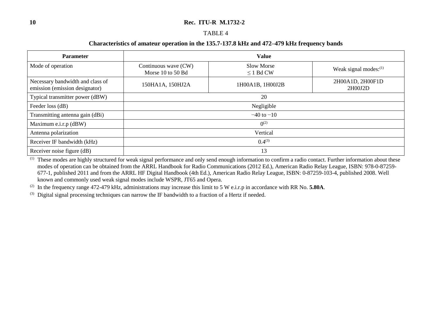#### TABLE 4

#### **Characteristics of amateur operation in the 135.7-137.8 kHz and 472–479 kHz frequency bands**

| <b>Parameter</b>                                                   | <b>Value</b>                              |                              |                             |  |  |  |
|--------------------------------------------------------------------|-------------------------------------------|------------------------------|-----------------------------|--|--|--|
| Mode of operation                                                  | Continuous wave (CW)<br>Morse 10 to 50 Bd | Slow Morse<br>$\leq$ 1 Bd CW | Weak signal modes: $(1)$    |  |  |  |
| Necessary bandwidth and class of<br>emission (emission designator) | 1H00A1B, 1H00J2B<br>150HA1A, 150HJ2A      |                              | 2H00A1D, 2H00F1D<br>2H00J2D |  |  |  |
| Typical transmitter power (dBW)                                    | 20                                        |                              |                             |  |  |  |
| Feeder loss (dB)                                                   |                                           | Negligible                   |                             |  |  |  |
| Transmitting antenna gain (dBi)                                    |                                           | $-40$ to $-10$               |                             |  |  |  |
| Maximum e.i.r.p (dBW)                                              | $0^{(2)}$                                 |                              |                             |  |  |  |
| Antenna polarization                                               | Vertical                                  |                              |                             |  |  |  |
| Receiver IF bandwidth (kHz)                                        | $0.4^{(3)}$                               |                              |                             |  |  |  |
| Receiver noise figure (dB)                                         | 13                                        |                              |                             |  |  |  |

 $(1)$  These modes are highly structured for weak signal performance and only send enough information to confirm a radio contact. Further information about these modes of operation can be obtained from the ARRL Handbook for Radio Communications (2012 Ed.), American Radio Relay League, ISBN: 978-0-87259- 677-1, published 2011 and from the ARRL HF Digital Handbook (4th Ed.), American Radio Relay League, ISBN: 0-87259-103-4, published 2008. Well known and commonly used weak signal modes include WSPR, JT65 and Opera.

(2) In the frequency range 472-479 kHz, administrations may increase this limit to 5 W e.i.r.p in accordance with RR No. **5.80A**.

(3) Digital signal processing techniques can narrow the IF bandwidth to a fraction of a Hertz if needed.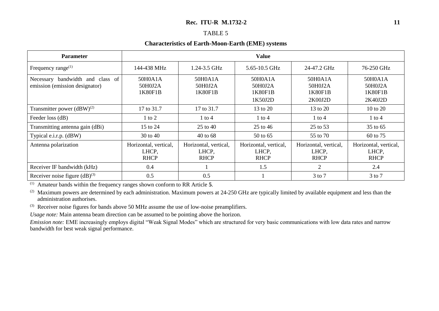#### TABLE 5

#### **Characteristics of Earth-Moon-Earth (EME) systems**

| <b>Parameter</b>                                                   | <b>Value</b>                                  |                                               |                                                                                      |                                               |                                               |  |  |  |
|--------------------------------------------------------------------|-----------------------------------------------|-----------------------------------------------|--------------------------------------------------------------------------------------|-----------------------------------------------|-----------------------------------------------|--|--|--|
| Frequency range $(1)$                                              | 144-438 MHz                                   | 1.24-3.5 GHz                                  | 5.65-10.5 GHz                                                                        | 24-47.2 GHz                                   | 76-250 GHz                                    |  |  |  |
| Necessary bandwidth and class of<br>emission (emission designator) | 50H0A1A<br>50H0J2A<br>1K80F1B                 | 50H0A1A<br>50H0J2A<br>1K80F1B                 | 50H0A1A<br>50H0A1A<br>50H0J2A<br>50H0J2A<br>1K80F1B<br>1K80F1B<br>1K50J2D<br>2K00J2D |                                               | 50H0A1A<br>50H0J2A<br>1K80F1B<br>2K40J2D      |  |  |  |
| Transmitter power $(dBW)^{(2)}$                                    | 17 to 31.7                                    | 17 to 31.7                                    | 13 to 20                                                                             | 13 to 20                                      | 10 to 20                                      |  |  |  |
| Feeder loss (dB)                                                   | $1$ to $2$                                    | 1 to 4                                        | 1 to 4                                                                               | 1 to 4                                        | $1$ to $4$                                    |  |  |  |
| Transmitting antenna gain (dBi)                                    | 15 to 24                                      | 25 to 40                                      | 25 to 46                                                                             | 25 to 53                                      | 35 to 65                                      |  |  |  |
| Typical e.i.r.p. (dBW)                                             | 30 to 40                                      | 40 to 68                                      | 50 to 65                                                                             | 55 to 70                                      | 60 to 75                                      |  |  |  |
| Antenna polarization                                               | Horizontal, vertical,<br>LHCP,<br><b>RHCP</b> | Horizontal, vertical,<br>LHCP,<br><b>RHCP</b> | Horizontal, vertical,<br>LHCP,<br><b>RHCP</b>                                        | Horizontal, vertical,<br>LHCP,<br><b>RHCP</b> | Horizontal, vertical,<br>LHCP,<br><b>RHCP</b> |  |  |  |
| Receiver IF bandwidth (kHz)                                        | 0.4                                           |                                               | 1.5                                                                                  | $\overline{2}$                                | 2.4                                           |  |  |  |
| Receiver noise figure $(dB)^{(3)}$                                 | 0.5                                           | 0.5                                           |                                                                                      | $3$ to $7$                                    | $3$ to $7$                                    |  |  |  |

(1) Amateur bands within the frequency ranges shown conform to RR Article **5**.

(2) Maximum powers are determined by each administration. Maximum powers at  $24-250$  GHz are typically limited by available equipment and less than the administration authorises.

(3) Receiver noise figures for bands above 50 MHz assume the use of low-noise preamplifiers.

*Usage note:* Main antenna beam direction can be assumed to be pointing above the horizon.

*Emission note:* EME increasingly employs digital "Weak Signal Modes" which are structured for very basic communications with low data rates and narrow bandwidth for best weak signal performance.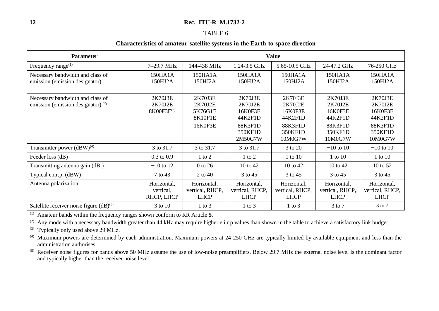#### TABLE 6

#### **Characteristics of amateur-satellite systems in the Earth-to-space direction**

| <b>Parameter</b>                                                            | <b>Value</b>                           |                                                     |                                                                           |                                                                           |                                                                           |                                                                           |
|-----------------------------------------------------------------------------|----------------------------------------|-----------------------------------------------------|---------------------------------------------------------------------------|---------------------------------------------------------------------------|---------------------------------------------------------------------------|---------------------------------------------------------------------------|
| Frequency range $^{(1)}$                                                    | 7-29.7 MHz                             | 144-438 MHz                                         | 1.24-3.5 GHz                                                              | 5.65-10.5 GHz                                                             | 24-47.2 GHz                                                               | 76-250 GHz                                                                |
| Necessary bandwidth and class of<br>emission (emission designator)          | 150HA1A<br>150HJ2A                     | 150HA1A<br>150HJ2A                                  | 150HA1A<br>150HJ2A                                                        | 150HA1A<br>150HJ2A                                                        | 150HA1A<br>150HJ2A                                                        | 150HA1A<br>150HJ2A                                                        |
| Necessary bandwidth and class of<br>emission (emission designator) $^{(2)}$ | 2K70J3E<br>2K70J2E<br>8K00F3E(3)       | 2K70J3E<br>2K70J2E<br>5K76G1E<br>8K10F1E<br>16K0F3E | 2K70J3E<br>2K70J2E<br>16K0F3E<br>44K2F1D<br>88K3F1D<br>350KF1D<br>2M50G7W | 2K70J3E<br>2K70J2E<br>16K0F3E<br>44K2F1D<br>88K3F1D<br>350KF1D<br>10M0G7W | 2K70J3E<br>2K70J2E<br>16K0F3E<br>44K2F1D<br>88K3F1D<br>350KF1D<br>10M0G7W | 2K70J3E<br>2K70J2E<br>16K0F3E<br>44K2F1D<br>88K3F1D<br>350KF1D<br>10M0G7W |
| Transmitter power (dBW) <sup>(4)</sup>                                      | 3 to 31.7                              | 3 to 31.7                                           | 3 to 31.7                                                                 | 3 to 20                                                                   | $-10$ to 10                                                               | $-10$ to 10                                                               |
| Feeder loss (dB)                                                            | $0.3$ to $0.9$                         | $1$ to $2$                                          | $1$ to $2$                                                                | 1 to 10                                                                   | 1 to 10                                                                   | $1$ to $10$                                                               |
| Transmitting antenna gain (dBi)                                             | $-10$ to 12                            | $0$ to 26                                           | 10 to 42                                                                  | 10 to 42                                                                  | 10 to 42                                                                  | 10 to 52                                                                  |
| Typical e.i.r.p. (dBW)                                                      | 7 to 43                                | 2 to 40                                             | 3 to 45                                                                   | 3 to 45                                                                   | 3 to 45                                                                   | 3 to 45                                                                   |
| Antenna polarization                                                        | Horizontal,<br>vertical,<br>RHCP, LHCP | Horizontal,<br>vertical, RHCP,<br><b>LHCP</b>       | Horizontal,<br>vertical, RHCP,<br><b>LHCP</b>                             | Horizontal,<br>vertical, RHCP,<br><b>LHCP</b>                             | Horizontal,<br>vertical, RHCP,<br><b>LHCP</b>                             | Horizontal,<br>vertical, RHCP,<br><b>LHCP</b>                             |
| Satellite receiver noise figure $(dB)^{(5)}$                                | 3 to 10                                | $1$ to $3$                                          | $1$ to $3$                                                                | $1$ to $3$                                                                | $3$ to $7$                                                                | 3 to 7                                                                    |

(1) Amateur bands within the frequency ranges shown conform to RR Article **5**.

(2) Any mode with a necessary bandwidth greater than 44 kHz may require higher e.i.r.p values than shown in the table to achieve a satisfactory link budget.

(3) Typically only used above 29 MHz.

(4) Maximum powers are determined by each administration. Maximum powers at 24-250 GHz are typically limited by available equipment and less than the administration authorises.

(5) Receiver noise figures for bands above 50 MHz assume the use of low-noise preamplifiers. Below 29.7 MHz the external noise level is the dominant factor and typically higher than the receiver noise level.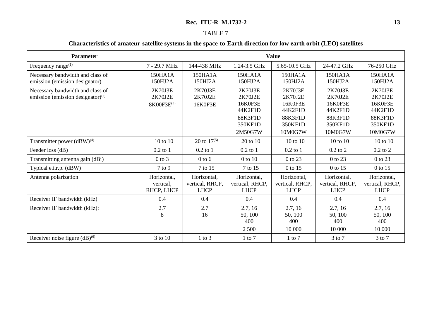# TABLE 7

## **Characteristics of amateur-satellite systems in the space-to-Earth direction for low earth orbit (LEO) satellites**

| <b>Parameter</b>                                                            | <b>Value</b>                           |                                               |                                                                           |                                                                           |                                                                           |                                                                           |
|-----------------------------------------------------------------------------|----------------------------------------|-----------------------------------------------|---------------------------------------------------------------------------|---------------------------------------------------------------------------|---------------------------------------------------------------------------|---------------------------------------------------------------------------|
| Frequency range <sup>(1)</sup>                                              | 7 - 29.7 MHz                           | 144-438 MHz                                   | 1.24-3.5 GHz                                                              | 5.65-10.5 GHz                                                             | 24-47.2 GHz                                                               | 76-250 GHz                                                                |
| Necessary bandwidth and class of<br>emission (emission designator)          | 150HA1A<br>150HJ2A                     | 150HA1A<br>150HJ2A                            | 150HA1A<br>150HJ2A                                                        | 150HA1A<br>150HJ2A                                                        | 150HA1A<br>150HJ2A                                                        | 150HA1A<br>150HJ2A                                                        |
| Necessary bandwidth and class of<br>emission (emission designator) $^{(2)}$ | 2K70J3E<br>2K70J2E<br>8K00F3E(3)       | 2K70J3E<br>2K70J2E<br>16K0F3E                 | 2K70J3E<br>2K70J2E<br>16K0F3E<br>44K2F1D<br>88K3F1D<br>350KF1D<br>2M50G7W | 2K70J3E<br>2K70J2E<br>16K0F3E<br>44K2F1D<br>88K3F1D<br>350KF1D<br>10M0G7W | 2K70J3E<br>2K70J2E<br>16K0F3E<br>44K2F1D<br>88K3F1D<br>350KF1D<br>10M0G7W | 2K70J3E<br>2K70J2E<br>16K0F3E<br>44K2F1D<br>88K3F1D<br>350KF1D<br>10M0G7W |
| Transmitter power $(dBW)^{(4)}$                                             | $-10$ to $10$                          | $-20$ to $17^{(5)}$                           | $-20$ to 10                                                               | $-10$ to 10                                                               | $-10$ to 10                                                               | $-10$ to 10                                                               |
| Feeder loss (dB)                                                            | $0.2$ to $1$                           | $0.2$ to 1                                    | $0.2$ to $1$                                                              | $0.2$ to 1                                                                | $0.2$ to $2$                                                              | $0.2$ to $2$                                                              |
| Transmitting antenna gain (dBi)                                             | $0$ to $3$                             | $0$ to $6$                                    | $0$ to $10$                                                               | 0 to 23                                                                   | 0 to 23                                                                   | 0 to 23                                                                   |
| Typical e.i.r.p. (dBW)                                                      | $-7$ to 9                              | $-7$ to 15                                    | $-7$ to 15                                                                | 0 to 15                                                                   | 0 to 15                                                                   | 0 to 15                                                                   |
| Antenna polarization                                                        | Horizontal,<br>vertical,<br>RHCP, LHCP | Horizontal,<br>vertical, RHCP,<br><b>LHCP</b> | Horizontal,<br>vertical, RHCP,<br><b>LHCP</b>                             | Horizontal,<br>vertical, RHCP,<br><b>LHCP</b>                             | Horizontal,<br>vertical, RHCP,<br><b>LHCP</b>                             | Horizontal,<br>vertical, RHCP,<br><b>LHCP</b>                             |
| Receiver IF bandwidth (kHz)                                                 | 0.4                                    | 0.4                                           | 0.4                                                                       | 0.4                                                                       | 0.4                                                                       | 0.4                                                                       |
| Receiver IF bandwidth (kHz):                                                | 2.7<br>8                               | 2.7<br>16                                     | 2.7, 16<br>50, 100<br>400<br>2 5 0 0                                      | 2.7, 16<br>50, 100<br>400<br>10 000                                       | 2.7, 16<br>50, 100<br>400<br>10 000                                       | 2.7, 16<br>50, 100<br>400<br>10 000                                       |
| Receiver noise figure $(dB)^{(6)}$                                          | 3 to 10                                | $1$ to $3$                                    | $1$ to $7$                                                                | $1$ to $7$                                                                | $3$ to $7$                                                                | $3$ to $7$                                                                |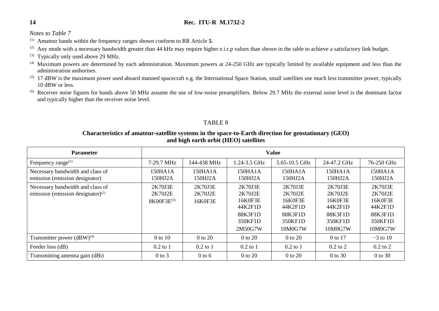*Notes to Table 7*

(1) Amateur bands within the frequency ranges shown conform to RR Article **5**.

(2) Any mode with a necessary bandwidth greater than 44 kHz may require higher e.i.r.p values than shown in the table to achieve a satisfactory link budget.

- (3) Typically only used above 29 MHz.
- (4) Maximum powers are determined by each administration. Maximum powers at 24-250 GHz are typically limited by available equipment and less than the administration authorises.
- $(5)$  17 dBW is the maximum power used aboard manned spacecraft e.g. the International Space Station, small satellites use much less transmitter power, typically 10 dBW or less.
- $^{(6)}$  Receiver noise figures for bands above 50 MHz assume the use of low-noise preamplifiers. Below 29.7 MHz the external noise level is the dominant factor and typically higher than the receiver noise level.

#### TABLE 8

## **Characteristics of amateur-satellite systems in the space-to-Earth direction for geostationary (GEO) and high earth orbit (HEO) satellites**

| <b>Parameter</b>                                                         | <b>Value</b>                                 |                               |                                                                           |                                                                           |                                                                           |                                                                           |
|--------------------------------------------------------------------------|----------------------------------------------|-------------------------------|---------------------------------------------------------------------------|---------------------------------------------------------------------------|---------------------------------------------------------------------------|---------------------------------------------------------------------------|
| Frequency range $^{(1)}$                                                 | 7-29.7 MHz                                   | 144-438 MHz                   | 1.24-3.5 GHz                                                              | 5.65-10.5 GHz                                                             | 24-47.2 GHz                                                               | 76-250 GHz                                                                |
| Necessary bandwidth and class of<br>emission (emission designator)       | 150HA1A<br>150HJ2A                           | 150HA1A<br>150HJ2A            | 150HA1A<br>150HJ2A                                                        | 150HA1A<br>150HJ2A                                                        | 150HA1A<br>150HJ2A                                                        | 150HA1A<br>150HJ2A                                                        |
| Necessary bandwidth and class of<br>emission (emission designator) $(2)$ | 2K70J3E<br>2K70J2E<br>8K00F3E <sup>(3)</sup> | 2K70J3E<br>2K70J2E<br>16K0F3E | 2K70J3E<br>2K70J2E<br>16K0F3E<br>44K2F1D<br>88K3F1D<br>350KF1D<br>2M50G7W | 2K70J3E<br>2K70J2E<br>16K0F3E<br>44K2F1D<br>88K3F1D<br>350KF1D<br>10M0G7W | 2K70J3E<br>2K70J2E<br>16K0F3E<br>44K2F1D<br>88K3F1D<br>350KF1D<br>10M0G7W | 2K70J3E<br>2K70J2E<br>16K0F3E<br>44K2F1D<br>88K3F1D<br>350KF1D<br>10M0G7W |
| Transmitter power $(dBW)^{(4)}$                                          | $0$ to $10$                                  | 0 to 20                       | $0$ to $20$                                                               | 0 to 20                                                                   | 0 to 17                                                                   | $-3$ to 10                                                                |
| Feeder loss (dB)                                                         | $0.2$ to 1                                   | $0.2$ to 1                    | $0.2$ to 1                                                                | $0.2$ to 1                                                                | $0.2$ to $2$                                                              | $0.2$ to $2$                                                              |
| Transmitting antenna gain (dBi)                                          | $0$ to $3$                                   | $0$ to $6$                    | 0 to 20                                                                   | 0 to 20                                                                   | $0$ to $30$                                                               | $0$ to 30                                                                 |